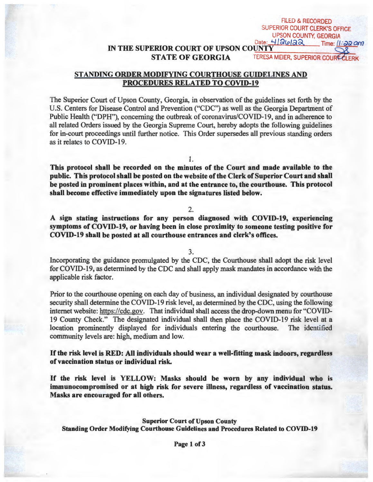**IN THE SUPERIOR COURT OF UPSON COUNTY<br>STATE OF GEORGIA TERESA** 

TERESA MEIER, SUPERIOR COURLERK

FILED & RECORDED SUPERIOR COURT CLERK'S OFFICE UPSON COUNTY, GEORGIA Date:  $H[Qua\&$  Time:  $II:$ a $a$  am

## **STANDING ORDER MODIFYING COURTHOUSE GUIDELINES AND PROCEDURES RELATED TO COVID-19**

The Superior Court of Upson County, Georgia, in observation of the guidelines set forth by the U.S. Centers for Disease Control and Prevention ("CDC") as well as the Georgia Department of Public Health ("DPH"), concerning the outbreak of coronavirus/COVID-19, and in adherence to all related Orders issued by the Georgia Supreme Court, hereby adopts the following guidelines for in-court proceedings until further notice. This Order supersedes all previous standing orders as it relates to COVID-19.

1.

**This protocol shall be recorded on the minutes of the Court and made available to the public. This protocol shall be posted on the website of the Clerk of Superior Court and shall be posted** in **prominent places within, and at the entrance to, the courthouse. This protocol shall become effective immediately upon the signatures listed below.** 

## 2.

**A sign stating instructions for any person diagnosed with COVID-19, experiencing symptoms of COVID-19, or having been in close proximity to someone testing positive for COVID-19 shall be posted at all courthouse entrances and clerk's offices.** 

3.

Incorporating the guidance promulgated by the CDC, the Courthouse shall adopt the risk level for COVID-19, as determined by the CDC and shall apply mask mandates in accordance with the applicable risk factor.

Prior to the courthouse opening on each day of business, an individual designated by courthouse security shall determine the COVID-19 risk level, as determined by the CDC, using the following internet website: https://cdc.gov. That individual shall access the drop-down menu for "COVID-19 County Check." The designated individual shall then place the COVID-19 risk level at a location prominently displayed for individuals entering the courthouse. The identified community levels are: high, medium and low.

If **the risk level is RED: All individuals should wear a well-fitting mask indoors, regardless of vaccination status or individual risk.** 

If **the risk level is YELLOW: Masks should be worn by any individual who is immunocompromised or at high risk for severe illness, regardless of vaccination status. Masks are encouraged for all others.**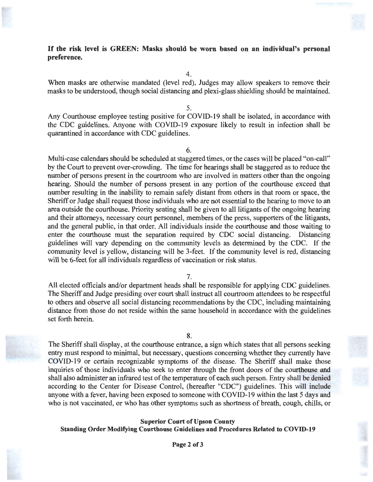## **If the risk level is GREEN: Masks should be worn based on an individual's personal preference.**

4.

When masks are otherwise mandated (level red), Judges may allow speakers to remove their masks to be understood, though social distancing and plexi-glass shielding should be maintained.

5.

Any Courthouse employee testing positive for COVID-19 shall be isolated, in accordance with the CDC guidelines. Anyone with COVID-19 exposure likely to result in infection shall be quarantined in accordance with CDC guidelines.

6.

· Multi-case calendars should be scheduled at staggered times, or the cases will be placed "on-call" by the Court to prevent over-crowding. The time for hearings shall be staggered as to reduce the number of persons present in the courtroom who are involved in matters other than the ongoing hearing. Should the number of persons present in any portion of the courthouse exceed that number resulting in the inability to remain safely distant from others in that room or space, the Sheriff or Judge shall request those individuals who are not essential to the hearing to move to an area outside the courthouse. Priority seating shall be given to all litigants of the ongoing hearing and their attorneys, necessary court personnel, members of the press, supporters of the litigants, and the general public, in that order. All individuals inside the courthouse and those waiting to enter the courthouse must the separation required by CDC social distancing. Distancing guidelines will vary depending on the community levels as determined by the CDC. If the community level is yellow, distancing will be 3-feet. If the community level is red, distancing will be 6-feet for all individuals regardless of vaccination or risk status.

7.

All elected officials and/or department heads shall be responsible for applying CDC guidelines. The Sheriff and Judge presiding over court shall instruct all courtroom attendees to be respectful to others and observe all social distancing recommendations by the CDC, including maintaining distance from those do not reside within the same household in accordance with the guidelines set forth herein.



The Sheriff shall display, at the courthouse entrance, a sign which states that all persons seeking entry must respond to minimal, but necessary, questions concerning whether they currently have COVID-19 or certain recognizable symptoms of the disease. The Sheriff shall make those inquiries of those individuals who seek to enter through the front doors of the courthouse and shall also administer an infrared test of the temperature of each such person. Entry shall be denied according to the Center for Disease Control, (hereafter "CDC") guidelines. This will include anyone with a fever, having been exposed to someone with COVID-19 within the last 5 days and who is not vaccinated, or who has other symptoms such as shortness of breath, cough, chills, or

## **Superior Court of Upson County Standing Order Modifying Courthouse Guidelines and Procedures Related to COVID-19**



**Page 2 of3**